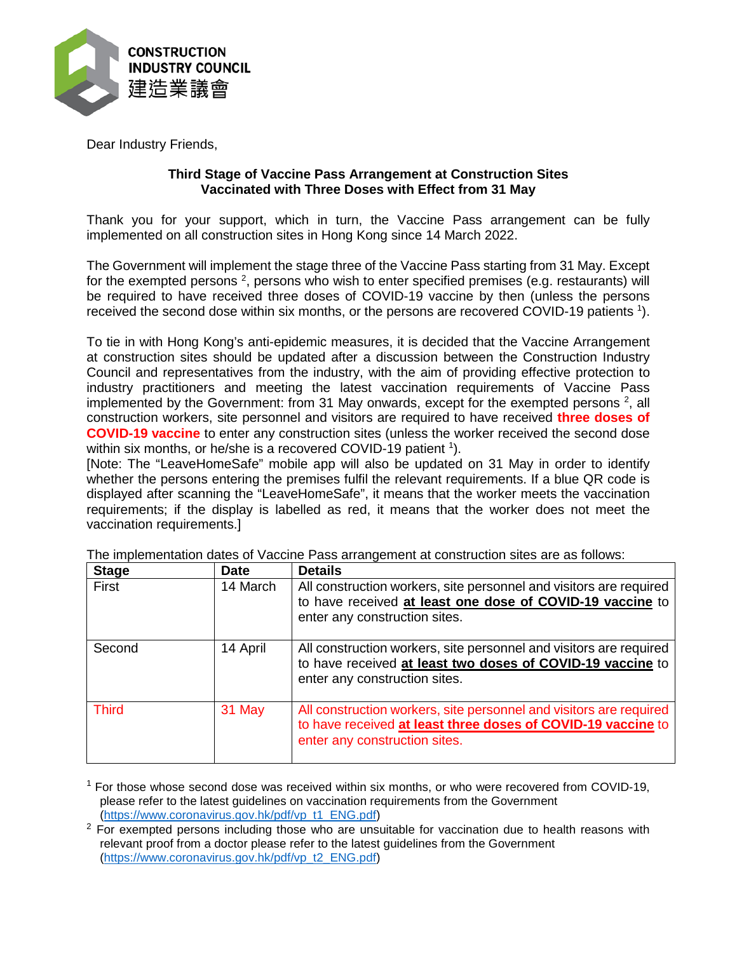

Dear Industry Friends,

## **Third Stage of Vaccine Pass Arrangement at Construction Sites Vaccinated with Three Doses with Effect from 31 May**

Thank you for your support, which in turn, the Vaccine Pass arrangement can be fully implemented on all construction sites in Hong Kong since 14 March 2022.

The Government will implement the stage three of the Vaccine Pass starting from 31 May. Except for the exempted persons  $^2$ , persons who wish to enter specified premises (e.g. restaurants) will be required to have received three doses of COVID-19 vaccine by then (unless the persons received the second dose within six months, or the persons are recovered COVID-19 patients <sup>1</sup>).

To tie in with Hong Kong's anti-epidemic measures, it is decided that the Vaccine Arrangement at construction sites should be updated after a discussion between the Construction Industry Council and representatives from the industry, with the aim of providing effective protection to industry practitioners and meeting the latest vaccination requirements of Vaccine Pass implemented by the Government: from 31 May onwards, except for the exempted persons  $^2$ , all construction workers, site personnel and visitors are required to have received **three doses of COVID-19 vaccine** to enter any construction sites (unless the worker received the second dose within six months, or he/she is a recovered COVID-19 patient <sup>1</sup>).

[Note: The "LeaveHomeSafe" mobile app will also be updated on 31 May in order to identify whether the persons entering the premises fulfil the relevant requirements. If a blue QR code is displayed after scanning the "LeaveHomeSafe", it means that the worker meets the vaccination requirements; if the display is labelled as red, it means that the worker does not meet the vaccination requirements.]

| <b>Stage</b> | <b>Date</b> | <b>Details</b>                                                                                                                                                      |
|--------------|-------------|---------------------------------------------------------------------------------------------------------------------------------------------------------------------|
| First        | 14 March    | All construction workers, site personnel and visitors are required<br>to have received at least one dose of COVID-19 vaccine to<br>enter any construction sites.    |
| Second       | 14 April    | All construction workers, site personnel and visitors are required<br>to have received at least two doses of COVID-19 vaccine to<br>enter any construction sites.   |
| <b>Third</b> | 31 May      | All construction workers, site personnel and visitors are required<br>to have received at least three doses of COVID-19 vaccine to<br>enter any construction sites. |

The implementation dates of Vaccine Pass arrangement at construction sites are as follows:

 $1$  For those whose second dose was received within six months, or who were recovered from COVID-19, please refer to the latest guidelines on vaccination requirements from the Government [\(https://www.coronavirus.gov.hk/pdf/vp\\_t1\\_ENG.pdf\)](https://www.coronavirus.gov.hk/pdf/vp_t1_ENG.pdf)

 $2$  For exempted persons including those who are unsuitable for vaccination due to health reasons with relevant proof from a doctor please refer to the latest guidelines from the Government [\(https://www.coronavirus.gov.hk/pdf/vp\\_t2\\_ENG.pdf\)](https://www.coronavirus.gov.hk/pdf/vp_t2_ENG.pdf)